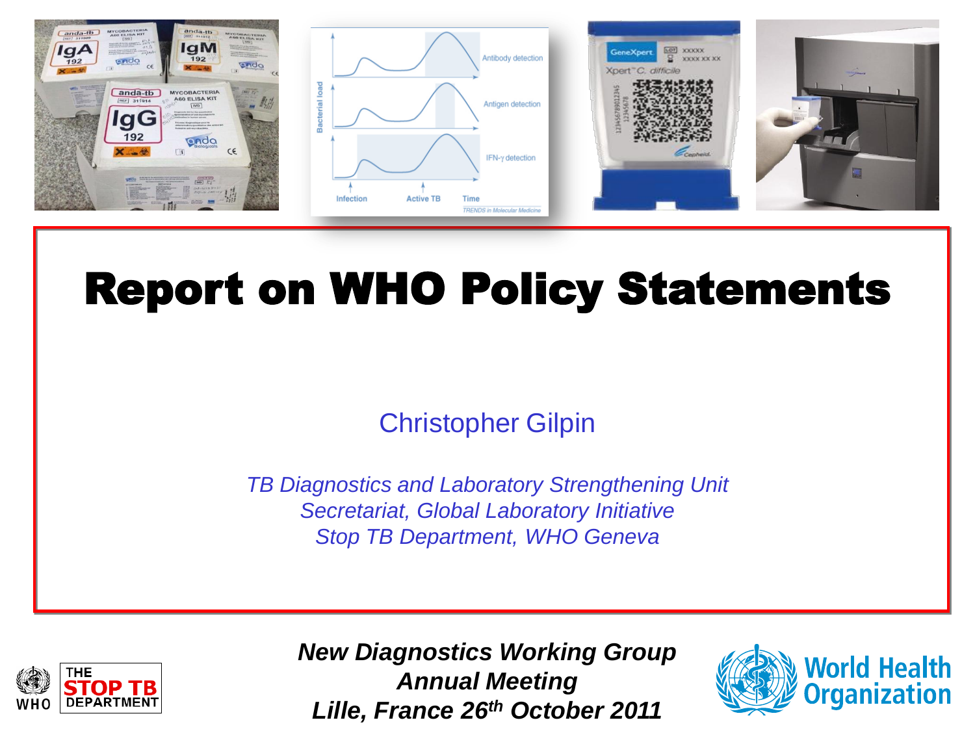

# Report on WHO Policy Statements

### Christopher Gilpin

*TB Diagnostics and Laboratory Strengthening Unit Secretariat, Global Laboratory Initiative Stop TB Department, WHO Geneva*



*New Diagnostics Working Group Annual Meeting Lille, France 26th October 2011*

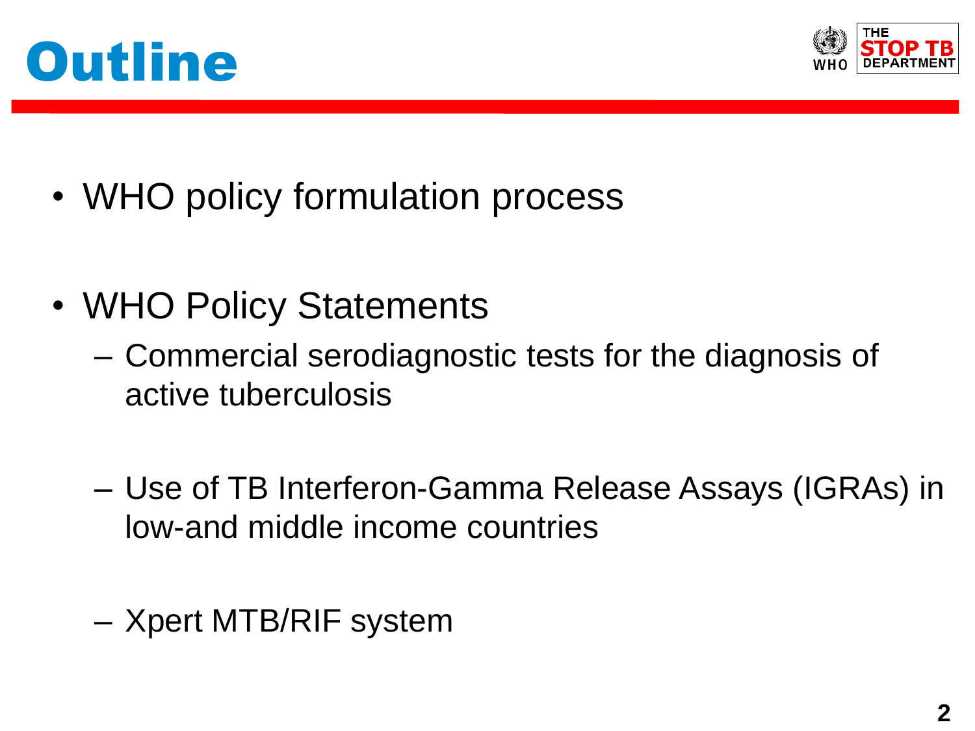



- WHO policy formulation process
- WHO Policy Statements
	- Commercial serodiagnostic tests for the diagnosis of active tuberculosis
	- Use of TB Interferon-Gamma Release Assays (IGRAs) in low-and middle income countries
	- Xpert MTB/RIF system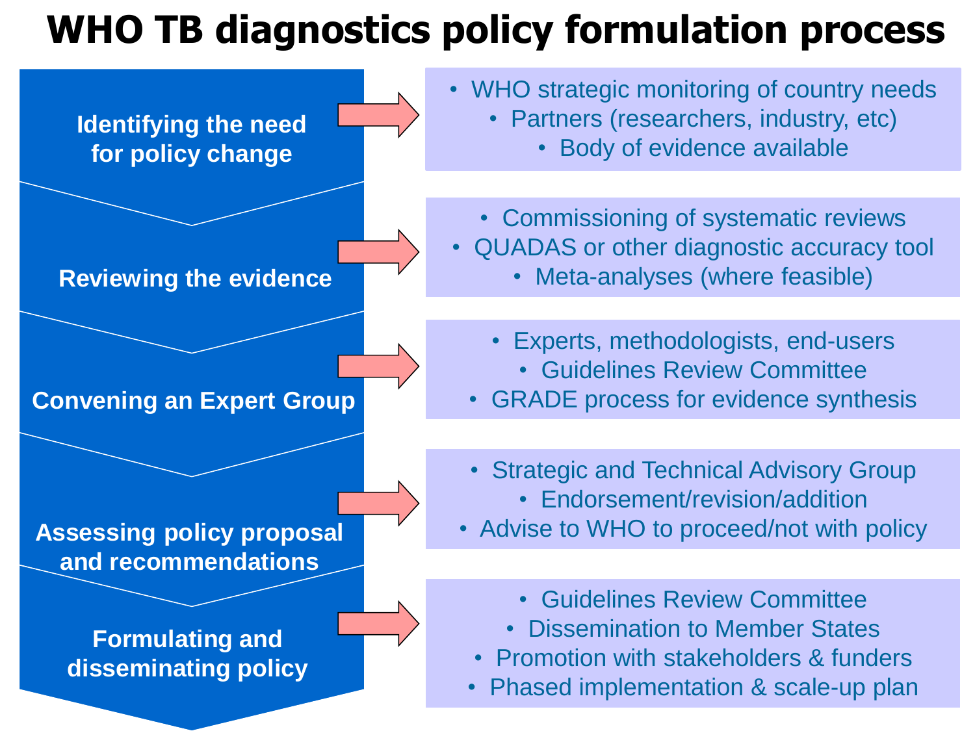# **WHO TB diagnostics policy formulation process**

**Identifying the need for policy change**

#### **Reviewing the evidence**

#### **Convening an Expert Group**

#### **Assessing policy proposal and recommendations**

**Formulating and disseminating policy** • WHO strategic monitoring of country needs

- Partners (researchers, industry, etc)
	- Body of evidence available
- Commissioning of systematic reviews
- QUADAS or other diagnostic accuracy tool
	- Meta-analyses (where feasible)
	- Experts, methodologists, end-users
		- Guidelines Review Committee
	- GRADE process for evidence synthesis
	- Strategic and Technical Advisory Group
		- Endorsement/revision/addition
- Advise to WHO to proceed/not with policy
	- Guidelines Review Committee
	- Dissemination to Member States
	- Promotion with stakeholders & funders
	- Phased implementation & scale-up plan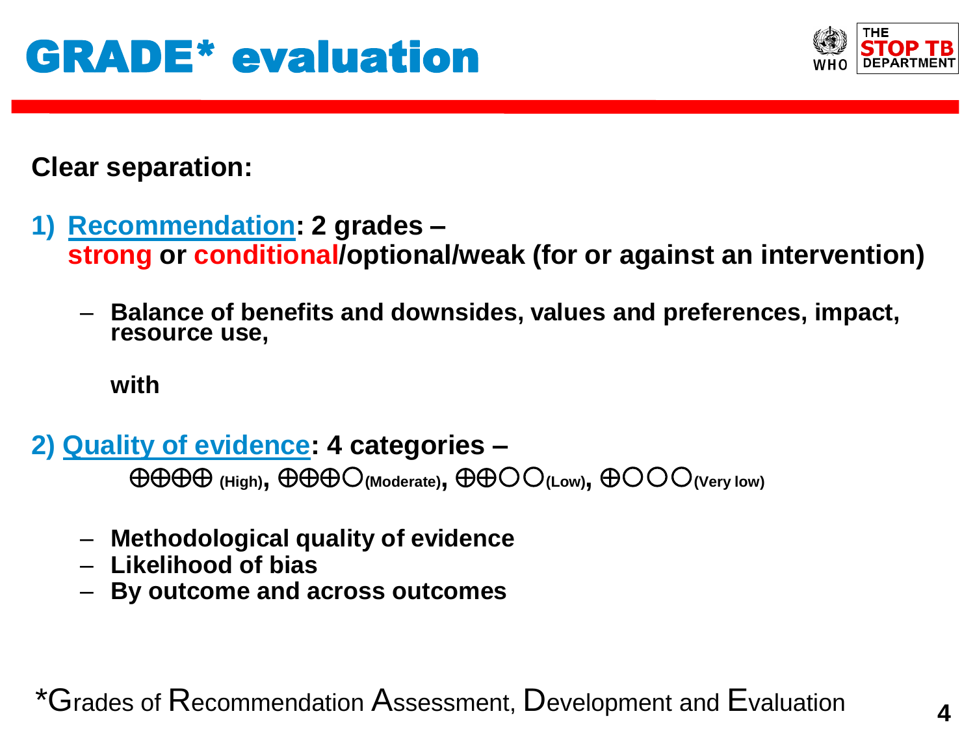

**Clear separation:**

- **1) Recommendation: 2 grades – strong or conditional/optional/weak (for or against an intervention)**
	- **Balance of benefits and downsides, values and preferences, impact, resource use,**

**with**

**2) Quality of evidence: 4 categories –**

**(High), (Moderate), (Low), (Very low)**

- **Methodological quality of evidence**
- **Likelihood of bias**
- **By outcome and across outcomes**

 $*$ Grades of  $\mathsf R$ ecommendation Assessment, Development and Evaluation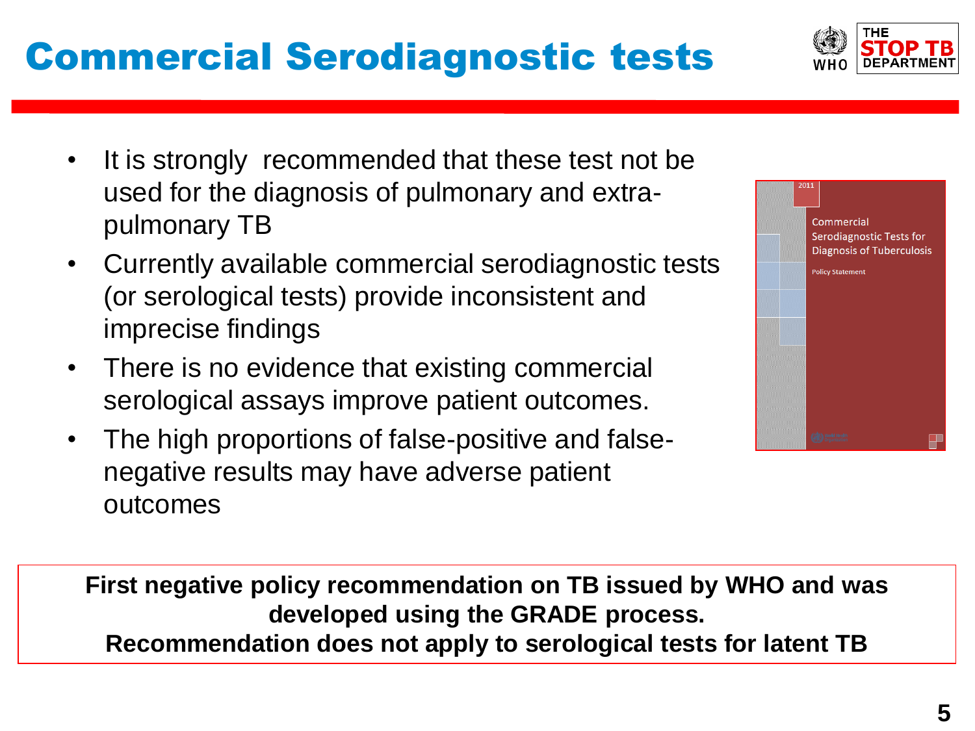## Commercial Serodiagnostic tests

- It is strongly recommended that these test not be used for the diagnosis of pulmonary and extrapulmonary TB
- Currently available commercial serodiagnostic tests (or serological tests) provide inconsistent and imprecise findings
- There is no evidence that existing commercial serological assays improve patient outcomes.
- The high proportions of false-positive and falsenegative results may have adverse patient outcomes

**First negative policy recommendation on TB issued by WHO and was developed using the GRADE process. Recommendation does not apply to serological tests for latent TB**



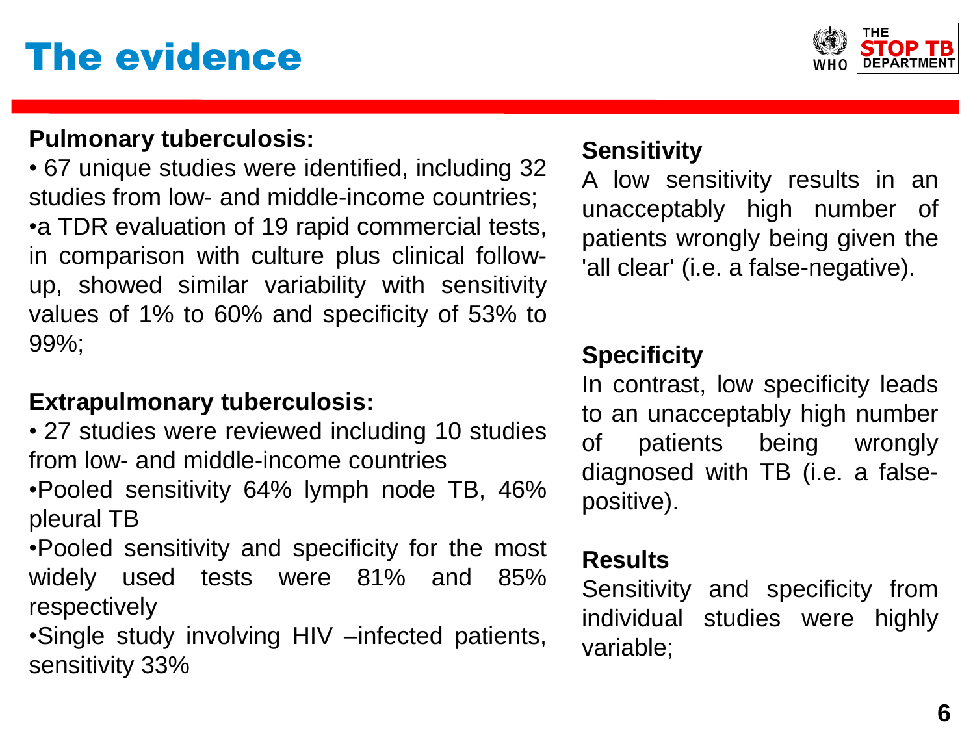## The evidence



#### **Pulmonary tuberculosis:**

• 67 unique studies were identified, including 32 studies from low- and middle-income countries; •a TDR evaluation of 19 rapid commercial tests, in comparison with culture plus clinical followup, showed similar variability with sensitivity values of 1% to 60% and specificity of 53% to 99%;

#### **Extrapulmonary tuberculosis:**

• 27 studies were reviewed including 10 studies from low- and middle-income countries

•Pooled sensitivity 64% lymph node TB, 46% pleural TB

•Pooled sensitivity and specificity for the most widely used tests were 81% and 85% respectively

•Single study involving HIV –infected patients, sensitivity 33%

### **Sensitivity**

A low sensitivity results in an unacceptably high number of patients wrongly being given the 'all clear' (i.e. a false-negative).

### **Specificity**

In contrast, low specificity leads to an unacceptably high number of patients being wrongly diagnosed with TB (i.e. a falsepositive).

### **Results**

Sensitivity and specificity from individual studies were highly variable;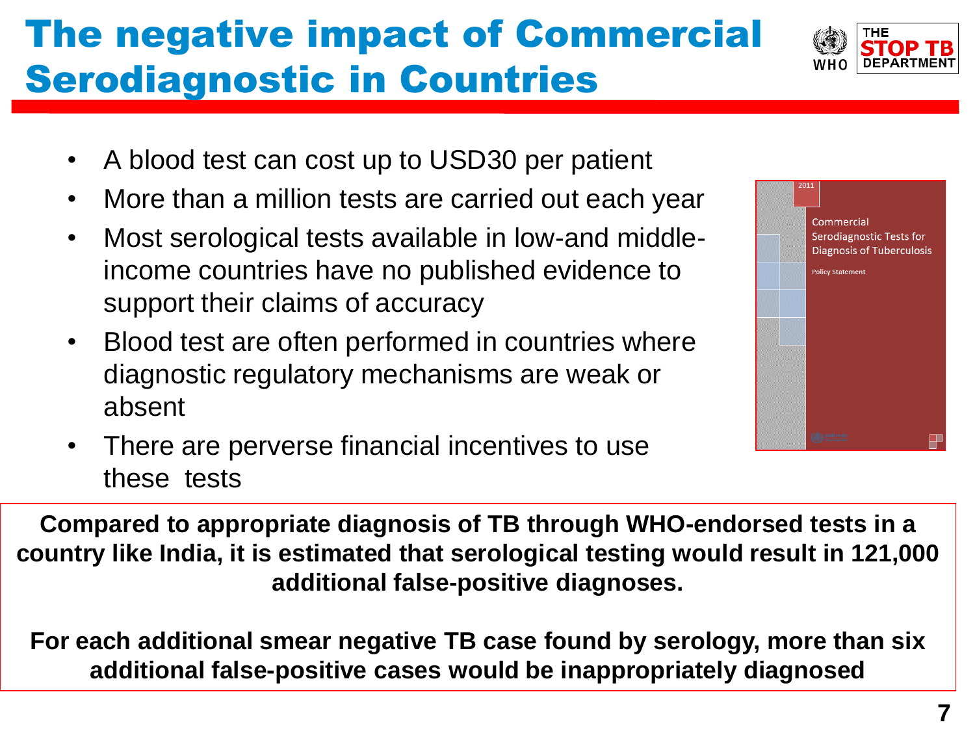# The negative impact of Commercial Serodiagnostic in Countries



- A blood test can cost up to USD30 per patient
- More than a million tests are carried out each year
- Most serological tests available in low-and middleincome countries have no published evidence to support their claims of accuracy
- Blood test are often performed in countries where diagnostic regulatory mechanisms are weak or absent



• There are perverse financial incentives to use these tests

**Compared to appropriate diagnosis of TB through WHO-endorsed tests in a country like India, it is estimated that serological testing would result in 121,000 additional false-positive diagnoses.**

**For each additional smear negative TB case found by serology, more than six additional false-positive cases would be inappropriately diagnosed**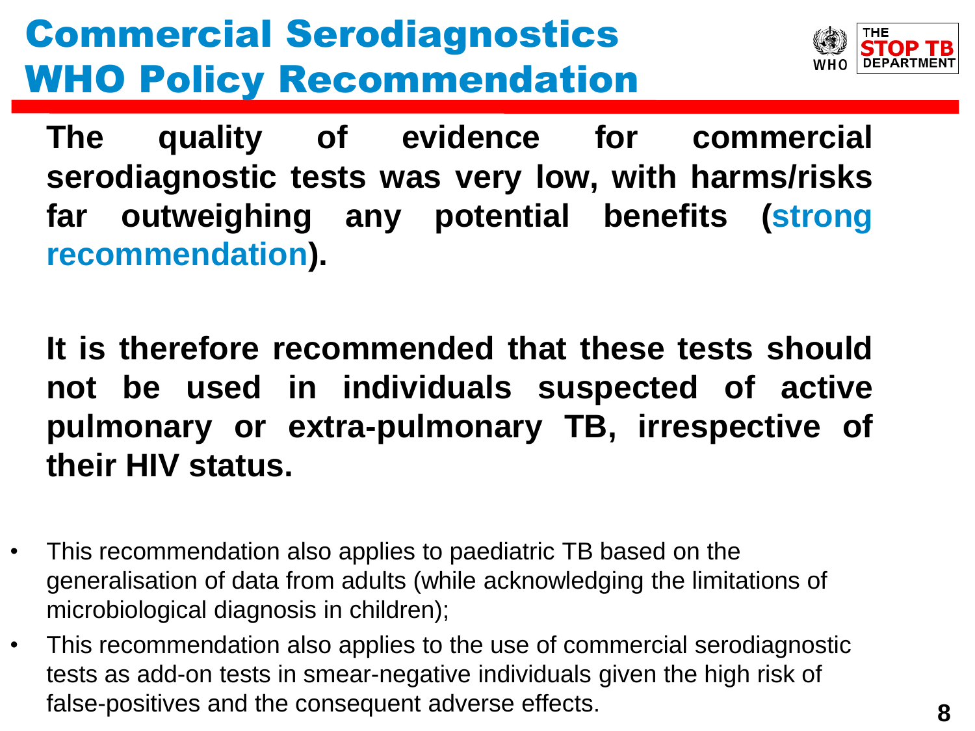# Commercial Serodiagnostics WHO Policy Recommendation



**The quality of evidence for commercial serodiagnostic tests was very low, with harms/risks far outweighing any potential benefits (strong recommendation).**

**It is therefore recommended that these tests should not be used in individuals suspected of active pulmonary or extra-pulmonary TB, irrespective of their HIV status.**

- This recommendation also applies to paediatric TB based on the generalisation of data from adults (while acknowledging the limitations of microbiological diagnosis in children);
- This recommendation also applies to the use of commercial serodiagnostic tests as add-on tests in smear-negative individuals given the high risk of false-positives and the consequent adverse effects.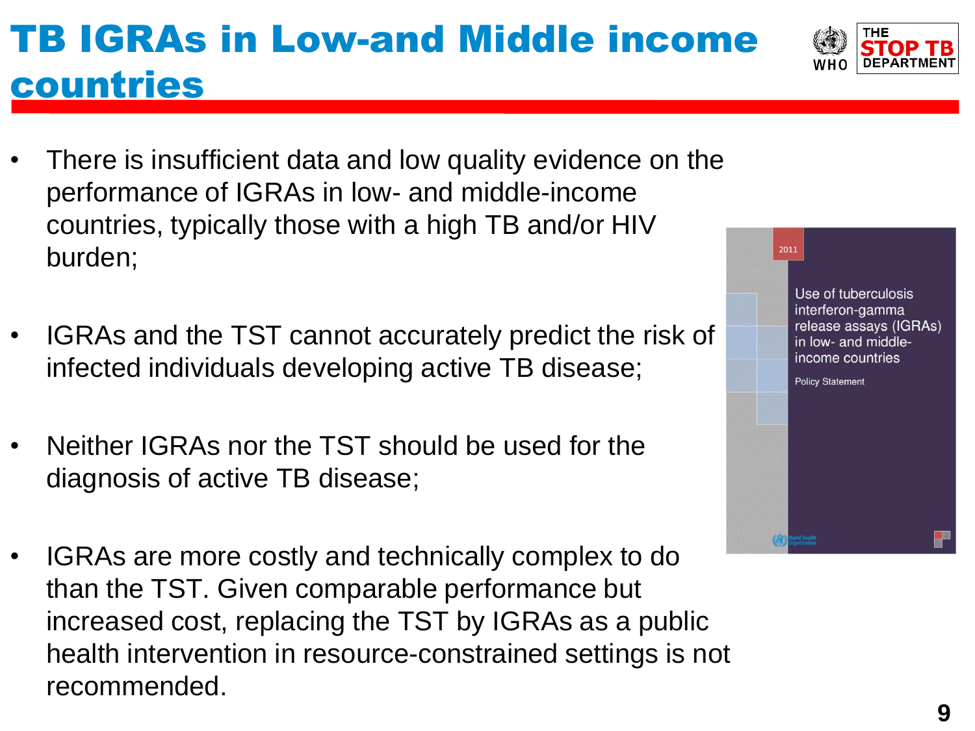# TB IGRAs in Low-and Middle income countries

- There is insufficient data and low quality evidence on the performance of IGRAs in low- and middle-income countries, typically those with a high TB and/or HIV burden;
- IGRAs and the TST cannot accurately predict the risk of infected individuals developing active TB disease;
- Neither IGRAs nor the TST should be used for the diagnosis of active TB disease;
- IGRAs are more costly and technically complex to do than the TST. Given comparable performance but increased cost, replacing the TST by IGRAs as a public health intervention in resource-constrained settings is not recommended.



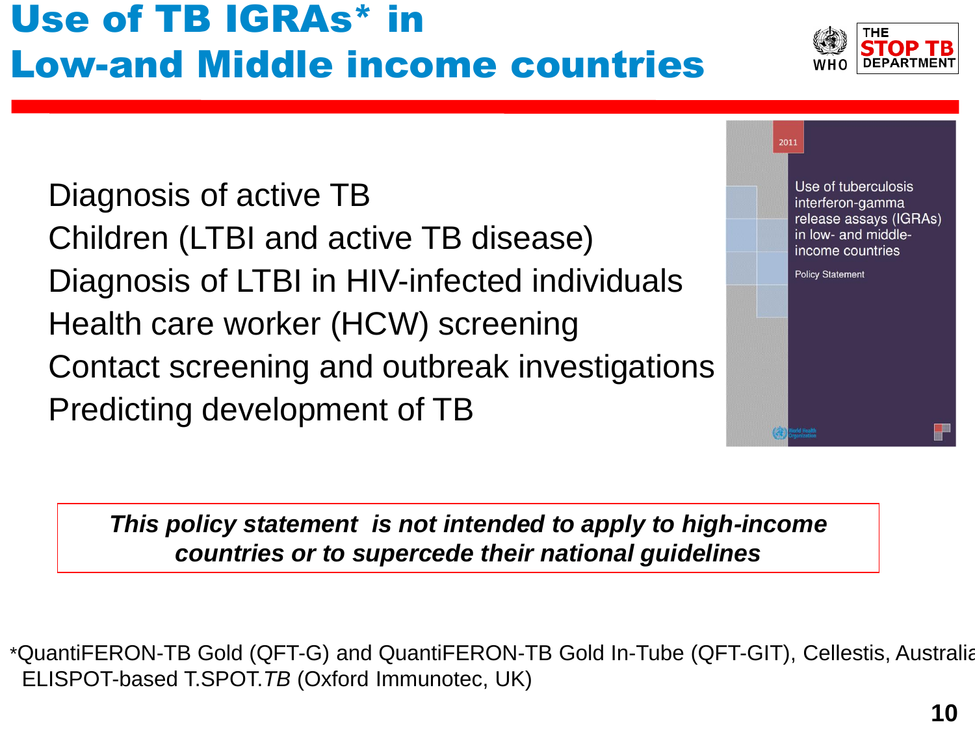## Use of TB IGRAs\* in Low-and Middle income countries

Diagnosis of active TB Children (LTBI and active TB disease) Diagnosis of LTBI in HIV-infected individuals Health care worker (HCW) screening Contact screening and outbreak investigations Predicting development of TB

Use of tuberculosis interferon-gamma release assays (IGRAs) in low- and middleincome countries **Policy Statement** 

2011

*This policy statement is not intended to apply to high-income countries or to supercede their national guidelines*

\*QuantiFERON-TB Gold (QFT-G) and QuantiFERON-TB Gold In-Tube (QFT-GIT), Cellestis, Australia ELISPOT-based T.SPOT.*TB* (Oxford Immunotec, UK)

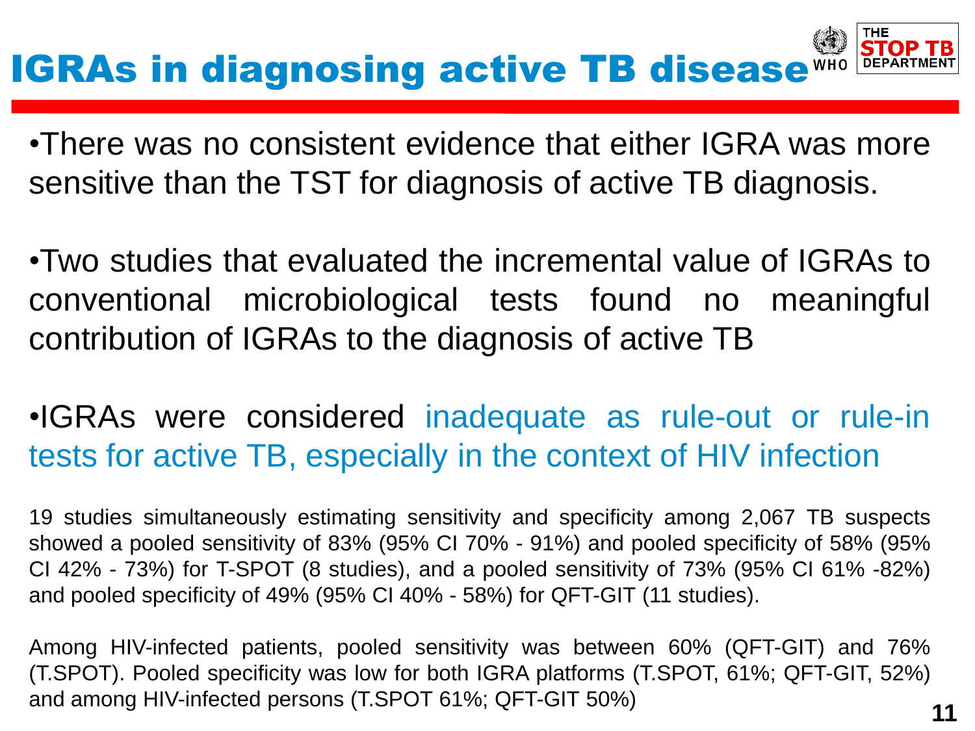•There was no consistent evidence that either IGRA was more sensitive than the TST for diagnosis of active TB diagnosis.

•Two studies that evaluated the incremental value of IGRAs to conventional microbiological tests found no meaningful contribution of IGRAs to the diagnosis of active TB

## •IGRAs were considered inadequate as rule-out or rule-in tests for active TB, especially in the context of HIV infection

19 studies simultaneously estimating sensitivity and specificity among 2,067 TB suspects showed a pooled sensitivity of 83% (95% CI 70% - 91%) and pooled specificity of 58% (95% CI 42% - 73%) for T-SPOT (8 studies), and a pooled sensitivity of 73% (95% CI 61% -82%) and pooled specificity of 49% (95% CI 40% - 58%) for QFT-GIT (11 studies).

Among HIV-infected patients, pooled sensitivity was between 60% (QFT-GIT) and 76% (T.SPOT). Pooled specificity was low for both IGRA platforms (T.SPOT, 61%; QFT-GIT, 52%) and among HIV-infected persons (T.SPOT 61%; QFT-GIT 50%)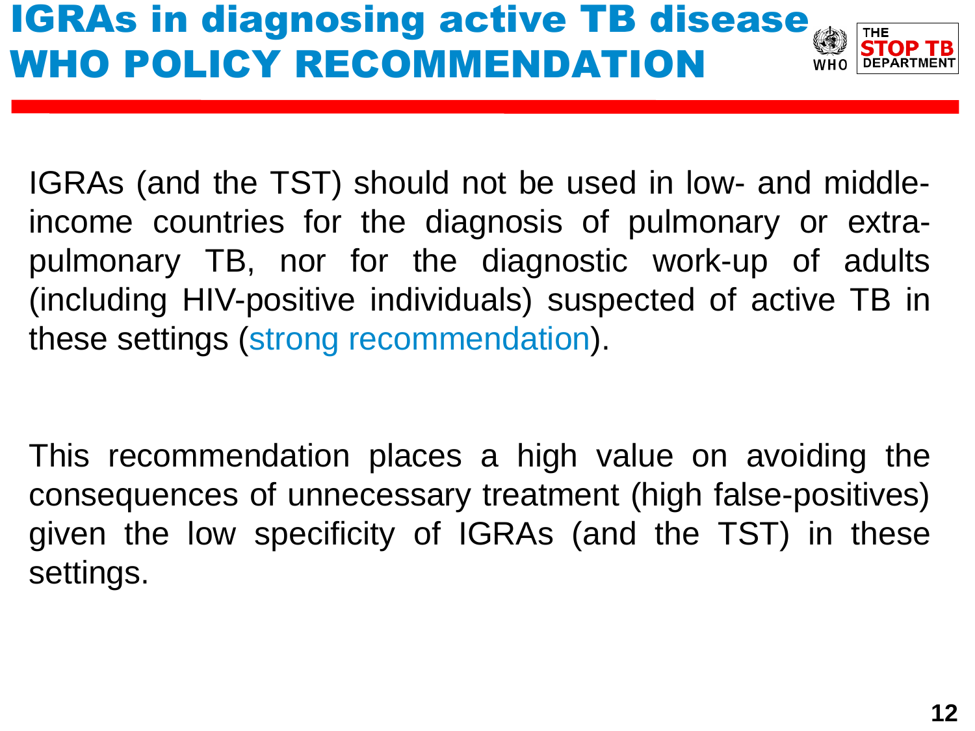# **IGRAs in diagnosing active TB disease** WHO POLICY RECOMMENDATION



IGRAs (and the TST) should not be used in low- and middleincome countries for the diagnosis of pulmonary or extrapulmonary TB, nor for the diagnostic work-up of adults (including HIV-positive individuals) suspected of active TB in these settings (strong recommendation).

This recommendation places a high value on avoiding the consequences of unnecessary treatment (high false-positives) given the low specificity of IGRAs (and the TST) in these settings.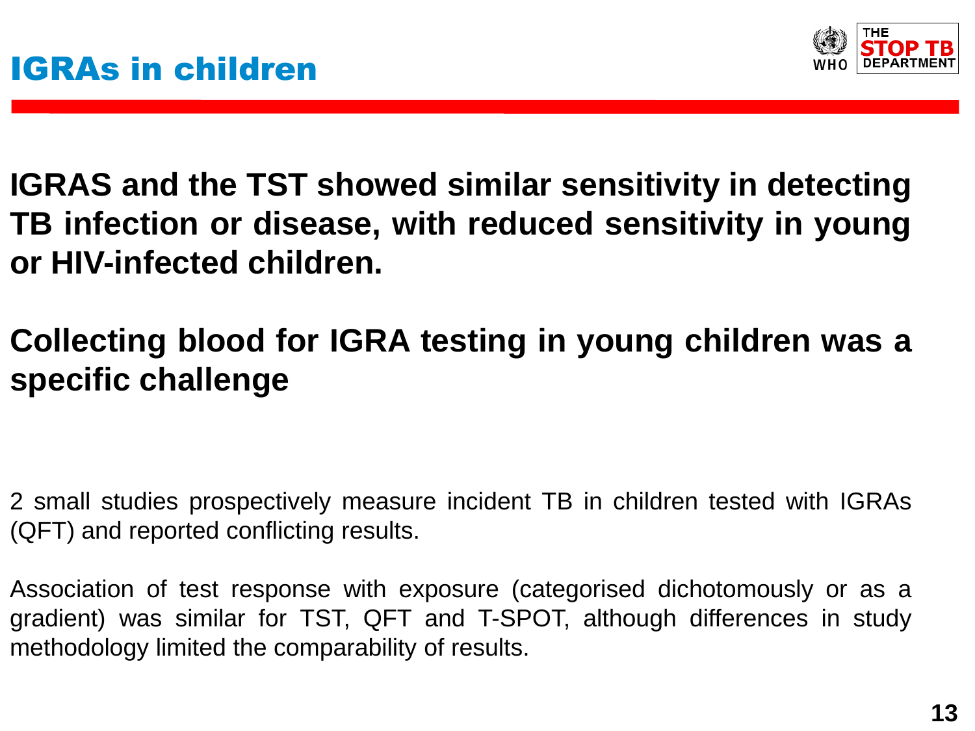

**IGRAS and the TST showed similar sensitivity in detecting TB infection or disease, with reduced sensitivity in young or HIV-infected children.**

## **Collecting blood for IGRA testing in young children was a specific challenge**

2 small studies prospectively measure incident TB in children tested with IGRAs (QFT) and reported conflicting results.

Association of test response with exposure (categorised dichotomously or as a gradient) was similar for TST, QFT and T-SPOT, although differences in study methodology limited the comparability of results.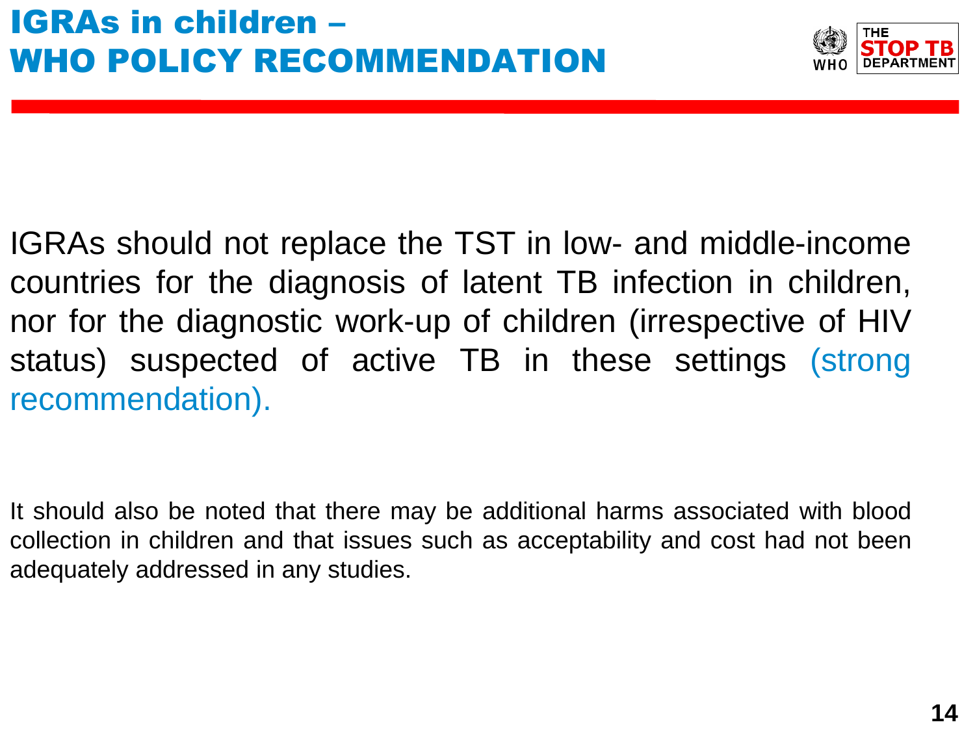

IGRAs should not replace the TST in low- and middle-income countries for the diagnosis of latent TB infection in children, nor for the diagnostic work-up of children (irrespective of HIV status) suspected of active TB in these settings (strong recommendation).

It should also be noted that there may be additional harms associated with blood collection in children and that issues such as acceptability and cost had not been adequately addressed in any studies.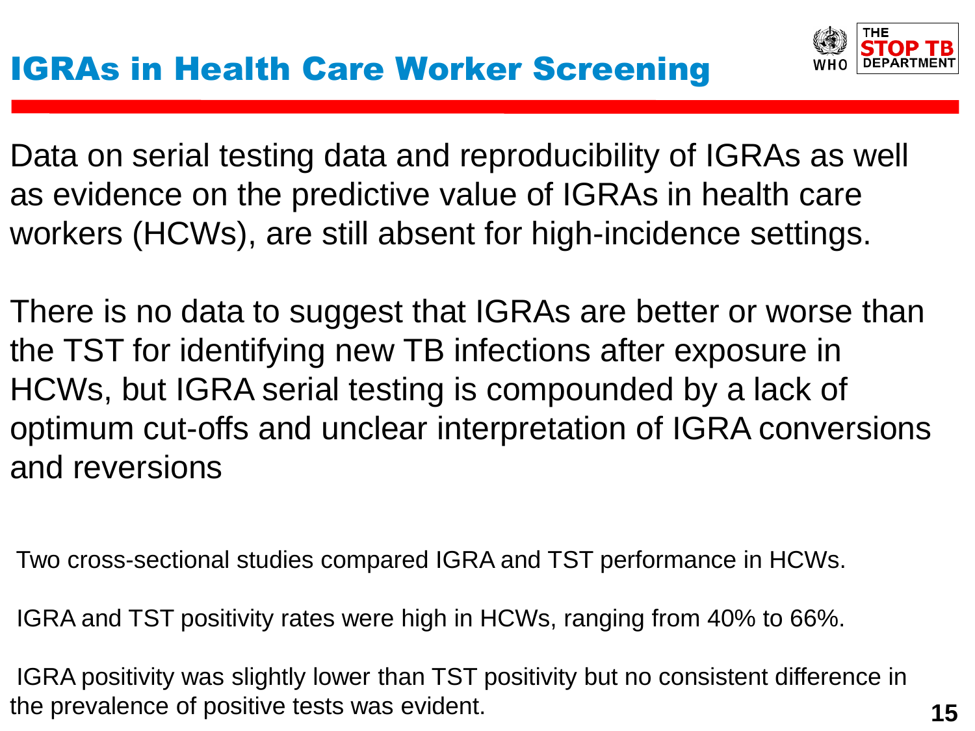Data on serial testing data and reproducibility of IGRAs as well as evidence on the predictive value of IGRAs in health care workers (HCWs), are still absent for high-incidence settings.

There is no data to suggest that IGRAs are better or worse than the TST for identifying new TB infections after exposure in HCWs, but IGRA serial testing is compounded by a lack of optimum cut-offs and unclear interpretation of IGRA conversions and reversions

Two cross-sectional studies compared IGRA and TST performance in HCWs.

IGRA and TST positivity rates were high in HCWs, ranging from 40% to 66%.

IGRA positivity was slightly lower than TST positivity but no consistent difference in the prevalence of positive tests was evident.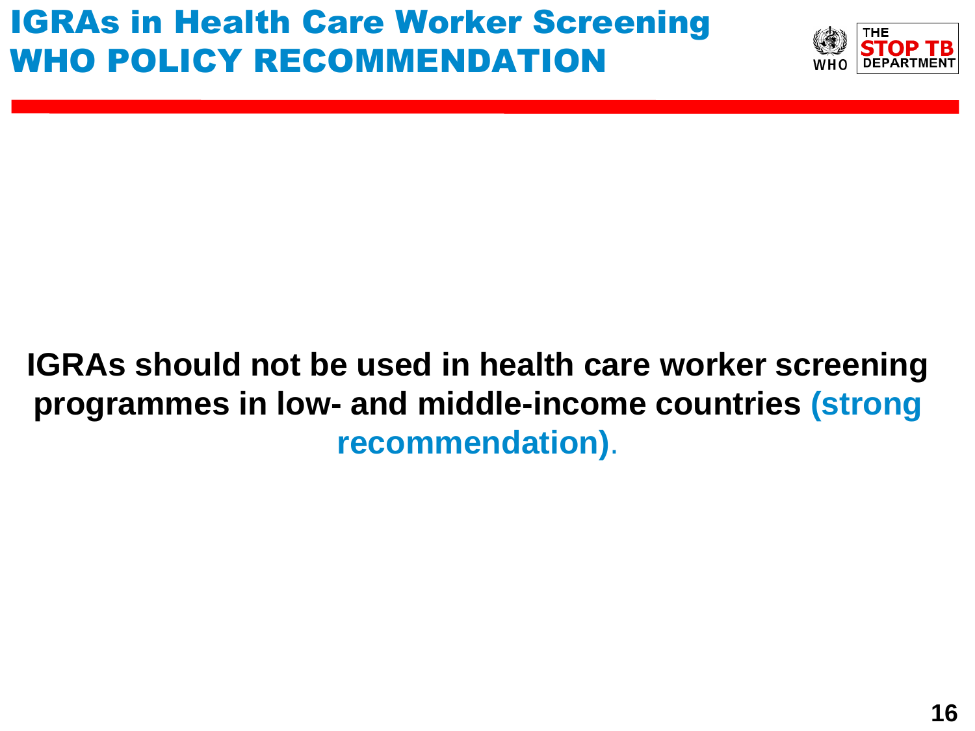

## **IGRAs should not be used in health care worker screening programmes in low- and middle-income countries (strong recommendation)**.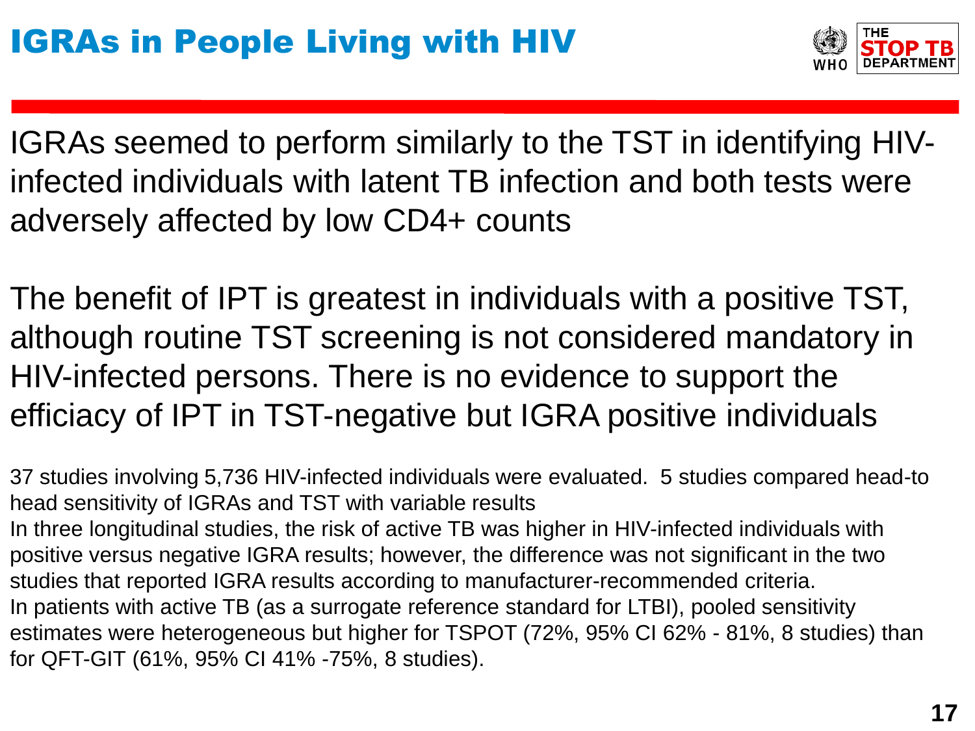

IGRAs seemed to perform similarly to the TST in identifying HIVinfected individuals with latent TB infection and both tests were adversely affected by low CD4+ counts

The benefit of IPT is greatest in individuals with a positive TST, although routine TST screening is not considered mandatory in HIV-infected persons. There is no evidence to support the efficiacy of IPT in TST-negative but IGRA positive individuals

37 studies involving 5,736 HIV-infected individuals were evaluated. 5 studies compared head-to head sensitivity of IGRAs and TST with variable results In three longitudinal studies, the risk of active TB was higher in HIV-infected individuals with positive versus negative IGRA results; however, the difference was not significant in the two studies that reported IGRA results according to manufacturer-recommended criteria. In patients with active TB (as a surrogate reference standard for LTBI), pooled sensitivity estimates were heterogeneous but higher for TSPOT (72%, 95% CI 62% - 81%, 8 studies) than for QFT-GIT (61%, 95% CI 41% -75%, 8 studies).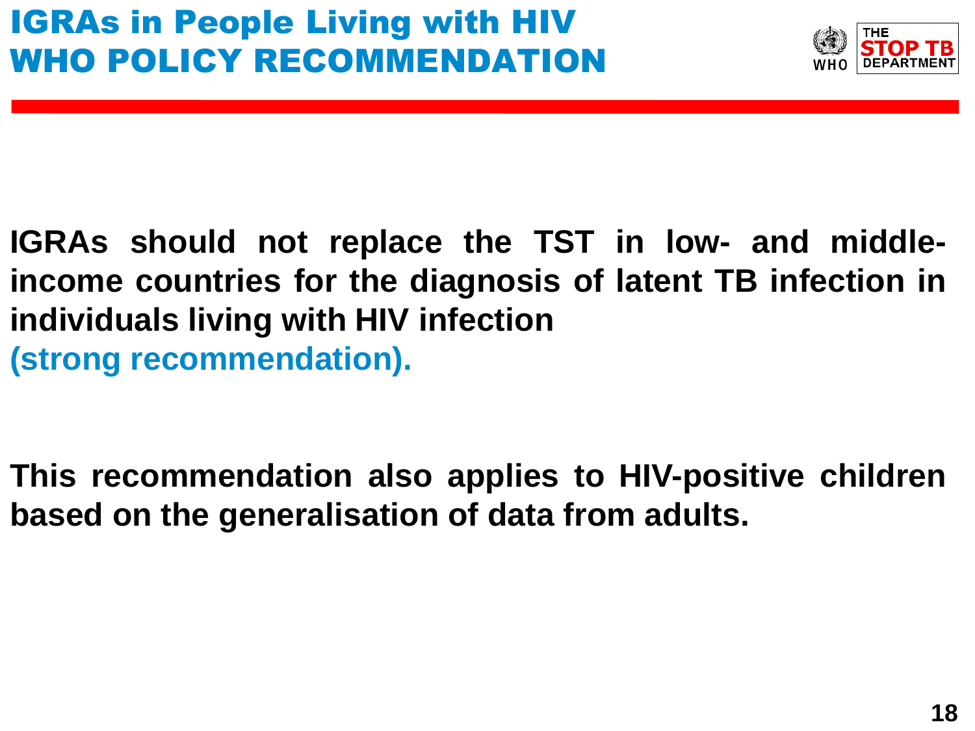

**IGRAs should not replace the TST in low- and middleincome countries for the diagnosis of latent TB infection in individuals living with HIV infection (strong recommendation).**

**This recommendation also applies to HIV-positive children based on the generalisation of data from adults.**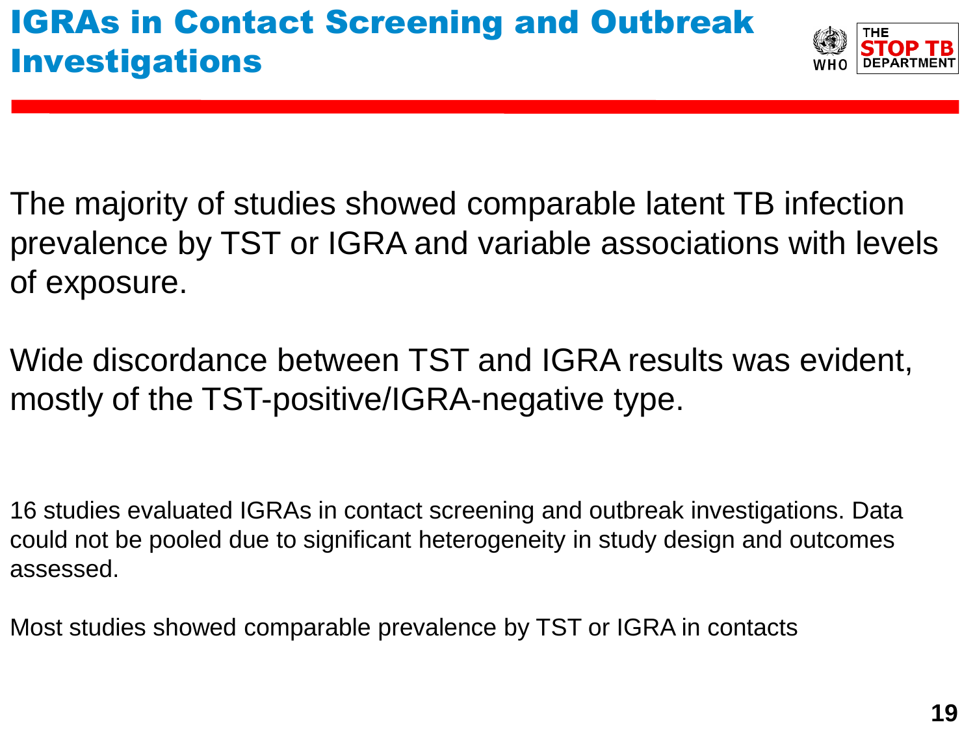

- The majority of studies showed comparable latent TB infection prevalence by TST or IGRA and variable associations with levels of exposure.
- Wide discordance between TST and IGRA results was evident, mostly of the TST-positive/IGRA-negative type.

- 16 studies evaluated IGRAs in contact screening and outbreak investigations. Data could not be pooled due to significant heterogeneity in study design and outcomes assessed.
- Most studies showed comparable prevalence by TST or IGRA in contacts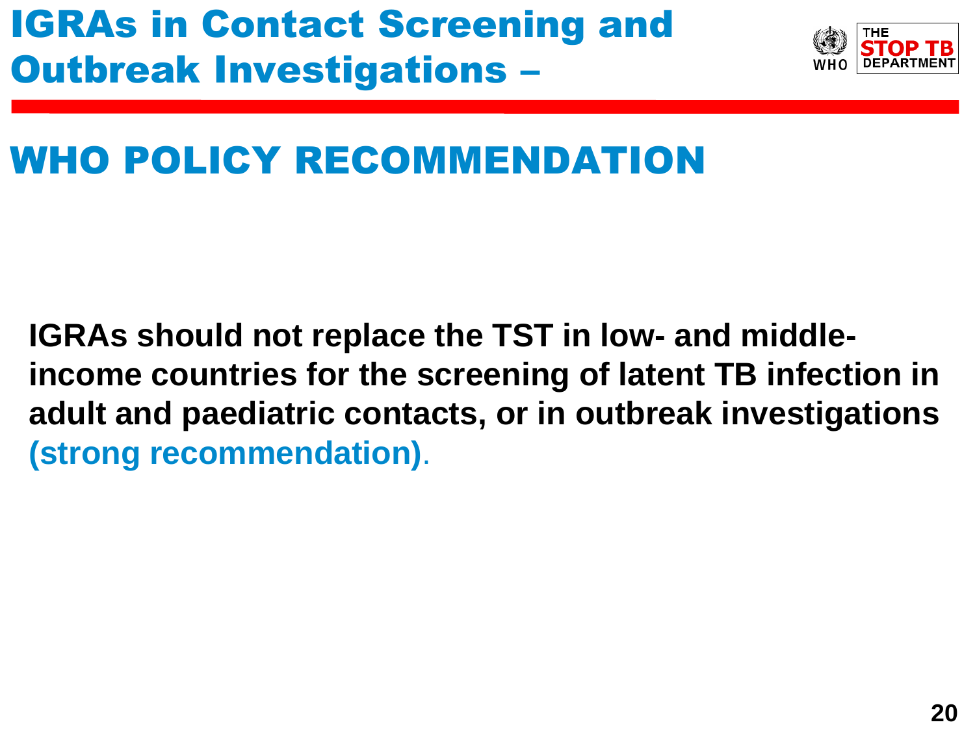

## WHO POLICY RECOMMENDATION

**IGRAs should not replace the TST in low- and middleincome countries for the screening of latent TB infection in adult and paediatric contacts, or in outbreak investigations (strong recommendation)**.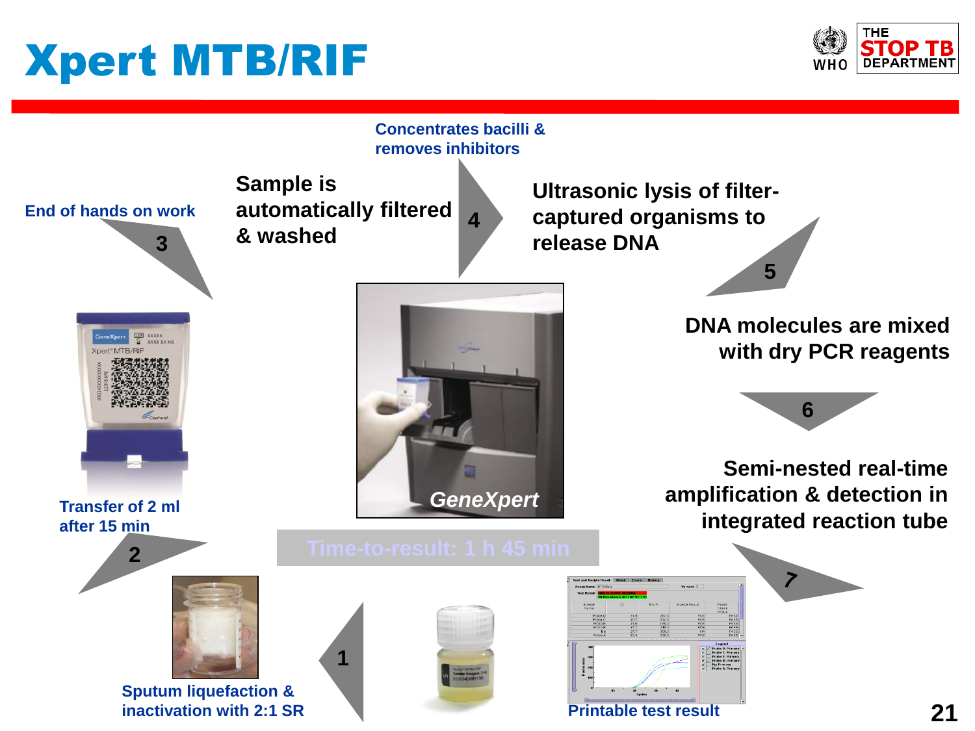# Xpert MTB/RIF



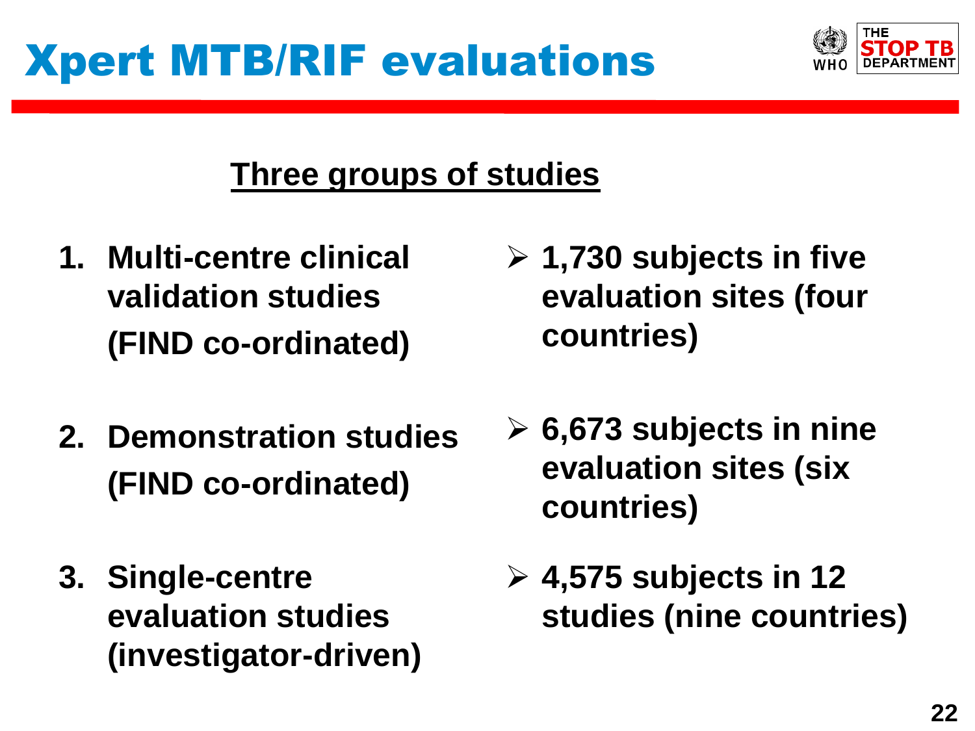

## **Three groups of studies**

- **1. Multi-centre clinical validation studies (FIND co-ordinated)**
- **2. Demonstration studies (FIND co-ordinated)**
- **3. Single-centre evaluation studies (investigator-driven)**
- **1,730 subjects in five evaluation sites (four countries)**
- **6,673 subjects in nine evaluation sites (six countries)**
- **4,575 subjects in 12 studies (nine countries)**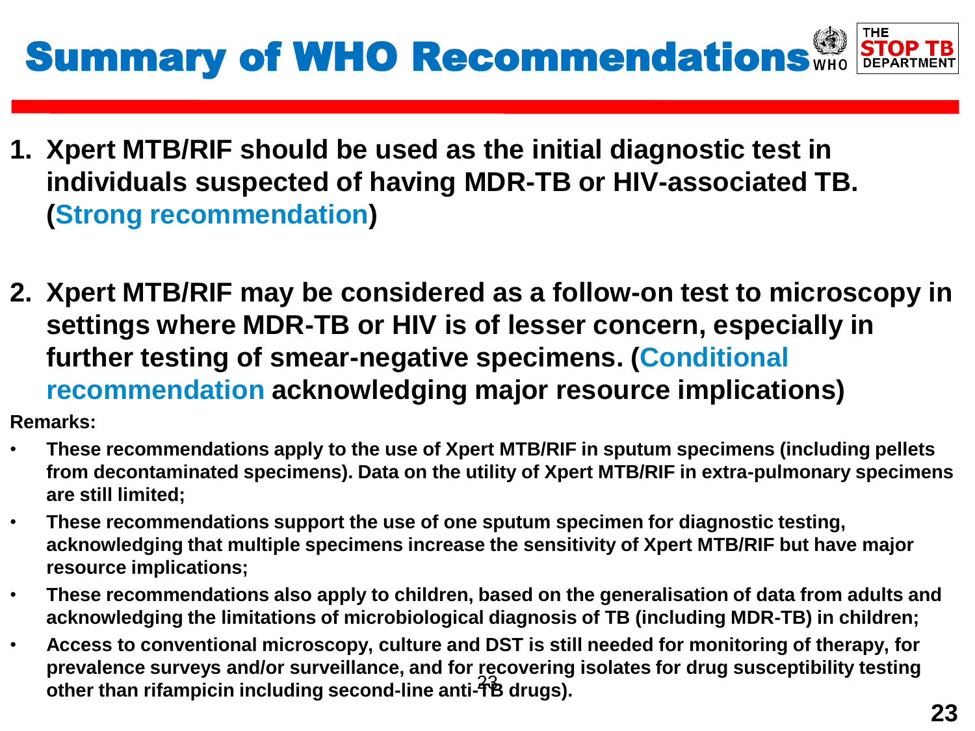

- **1. Xpert MTB/RIF should be used as the initial diagnostic test in individuals suspected of having MDR-TB or HIV-associated TB. (Strong recommendation)**
- **2. Xpert MTB/RIF may be considered as a follow-on test to microscopy in settings where MDR-TB or HIV is of lesser concern, especially in further testing of smear-negative specimens. (Conditional recommendation acknowledging major resource implications)**

**Remarks:**

- **These recommendations apply to the use of Xpert MTB/RIF in sputum specimens (including pellets from decontaminated specimens). Data on the utility of Xpert MTB/RIF in extra-pulmonary specimens are still limited;**
- **These recommendations support the use of one sputum specimen for diagnostic testing, acknowledging that multiple specimens increase the sensitivity of Xpert MTB/RIF but have major resource implications;**
- **These recommendations also apply to children, based on the generalisation of data from adults and acknowledging the limitations of microbiological diagnosis of TB (including MDR-TB) in children;**
- 23 **other than rifampicin including second-line anti-TB drugs).**• **Access to conventional microscopy, culture and DST is still needed for monitoring of therapy, for prevalence surveys and/or surveillance, and for recovering isolates for drug susceptibility testing**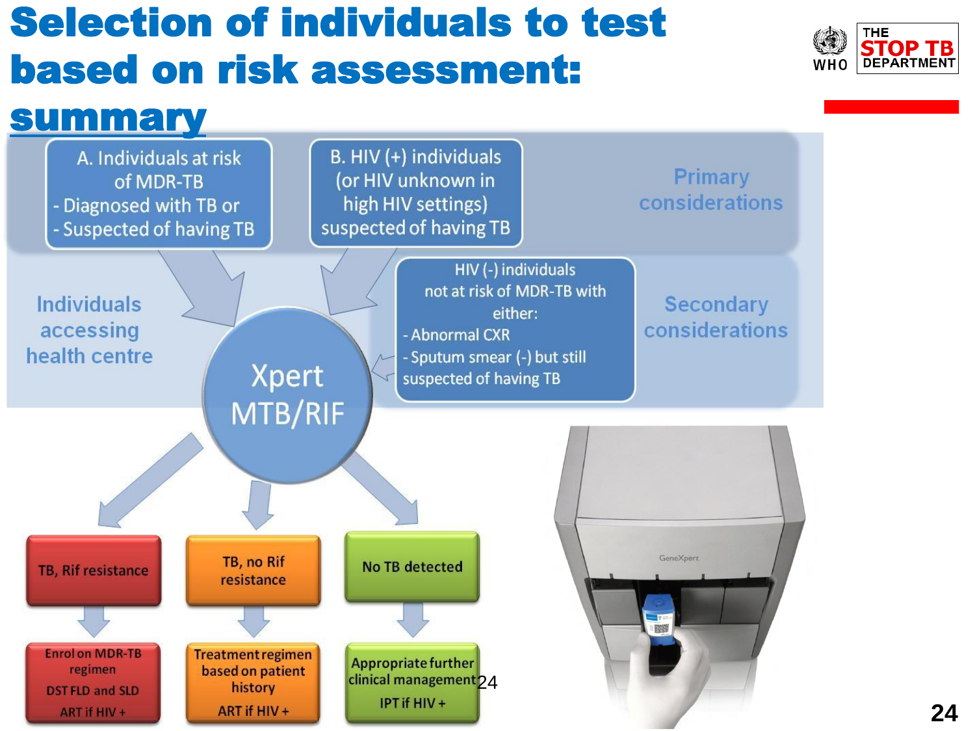# Selection of individuals to test based on risk assessment:



## summary

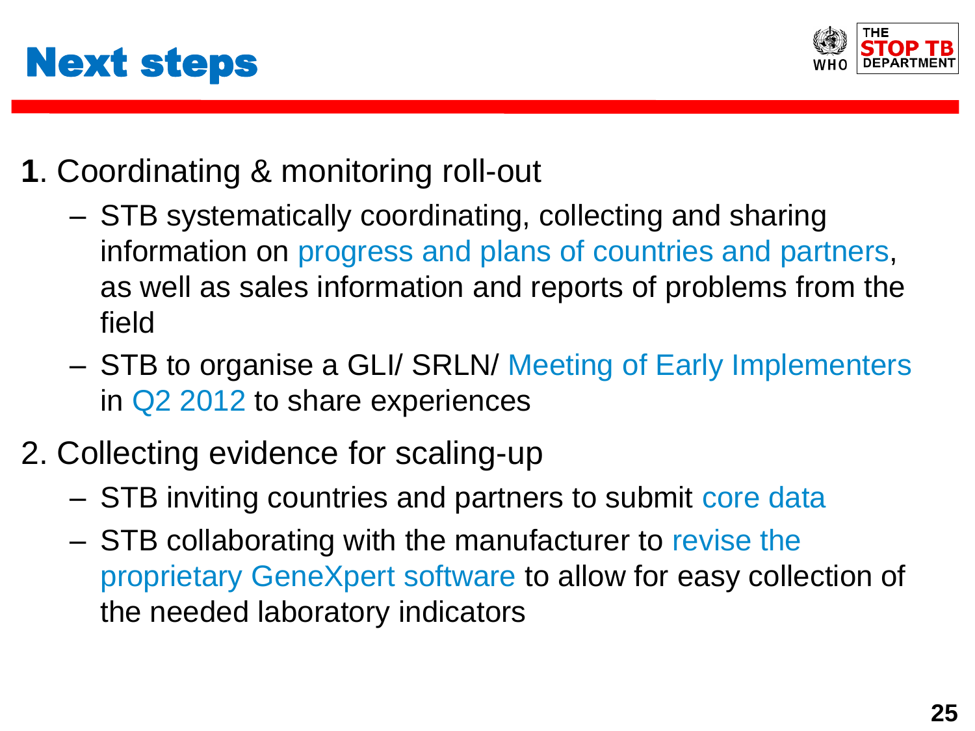



- **1**. Coordinating & monitoring roll-out
	- STB systematically coordinating, collecting and sharing information on progress and plans of countries and partners, as well as sales information and reports of problems from the field
	- STB to organise a GLI/ SRLN/ Meeting of Early Implementers in Q2 2012 to share experiences
- 2. Collecting evidence for scaling-up
	- STB inviting countries and partners to submit core data
	- STB collaborating with the manufacturer to revise the proprietary GeneXpert software to allow for easy collection of the needed laboratory indicators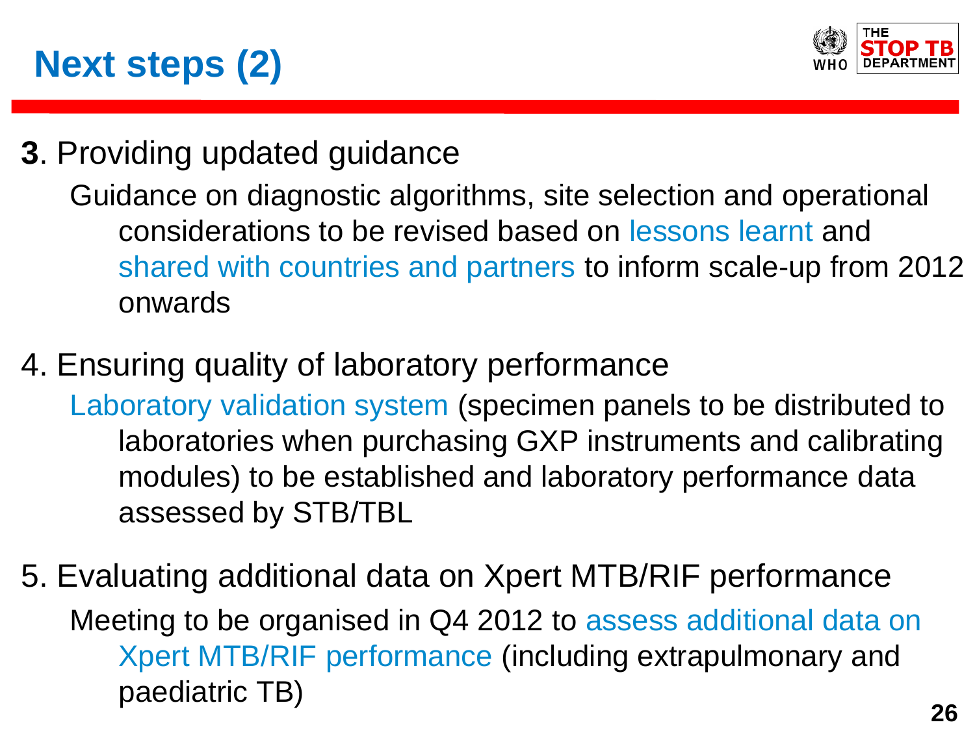



**3**. Providing updated guidance

Guidance on diagnostic algorithms, site selection and operational considerations to be revised based on lessons learnt and shared with countries and partners to inform scale-up from 2012 onwards

4. Ensuring quality of laboratory performance

Laboratory validation system (specimen panels to be distributed to laboratories when purchasing GXP instruments and calibrating modules) to be established and laboratory performance data assessed by STB/TBL

5. Evaluating additional data on Xpert MTB/RIF performance Meeting to be organised in Q4 2012 to assess additional data on Xpert MTB/RIF performance (including extrapulmonary and paediatric TB)